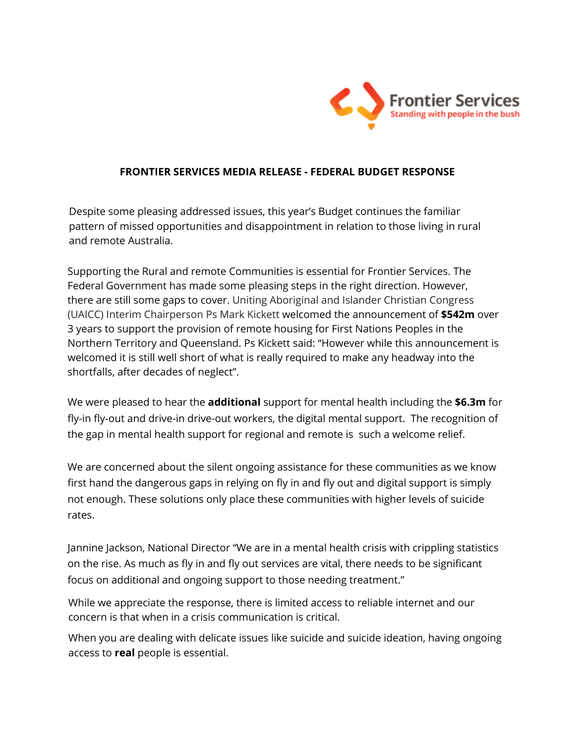

## **FRONTIER SERVICES MEDIA RELEASE - FEDERAL BUDGET RESPONSE**

Despite some pleasing addressed issues, this year's Budget continues the familiar pattern of missed opportunities and disappointment in relation to those living in rural and remote Australia.

Supporting the Rural and remote Communities is essential for Frontier Services. The Federal Government has made some pleasing steps in the right direction. However, there are still some gaps to cover. Uniting Aboriginal and Islander Christian Congress (UAICC) Interim Chairperson Ps Mark Kickett welcomed the announcement of **\$542m** over 3 years to support the provision of remote housing for First Nations Peoples in the Northern Territory and Queensland. Ps Kickett said: "However while this announcement is welcomed it is still well short of what is really required to make any headway into the shortfalls, after decades of neglect".

We were pleased to hear the **additional** support for mental health including the **\$6.3m** for fly-in fly-out and drive-in drive-out workers, the digital mental support. The recognition of the gap in mental health support for regional and remote is such a welcome relief.

We are concerned about the silent ongoing assistance for these communities as we know first hand the dangerous gaps in relying on fly in and fly out and digital support is simply not enough. These solutions only place these communities with higher levels of suicide rates.

Jannine Jackson, National Director "We are in a mental health crisis with crippling statistics on the rise. As much as fly in and fly out services are vital, there needs to be significant focus on additional and ongoing support to those needing treatment."

While we appreciate the response, there is limited access to reliable internet and our concern is that when in a crisis communication is critical.

When you are dealing with delicate issues like suicide and suicide ideation, having ongoing access to **real** people is essential.